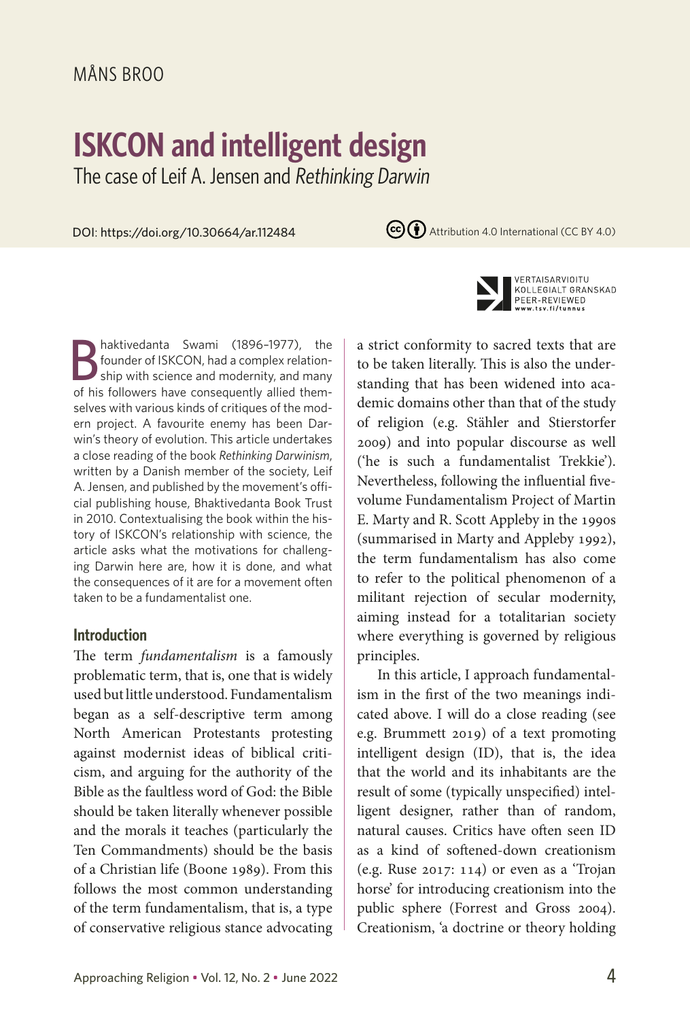# MÅNS BROO

# **ISKCON and intelligent design**

The case of Leif A. Jensen and Rethinking Darwin

DOI: https://doi.org/10.30664/ar.112484

(cc) + Attribution 4.0 International (CC BY 4.0)



### **Introduction**

The term *fundamentalism* is a famously problematic term, that is, one that is widely used but little understood. Fundamentalism began as a self-descriptive term among North American Protestants protesting against modernist ideas of biblical criticism, and arguing for the authority of the Bible as the faultless word of God: the Bible should be taken literally whenever possible and the morals it teaches (particularly the Ten Commandments) should be the basis of a Christian life (Boone 1989). From this follows the most common understanding of the term fundamentalism, that is, a type of conservative religious stance advocating



VERTAISARVIOITU KOLLEGIALT GRANSKAD PEER-REVIEWED w.tsv.fi/tunnus

a strict conformity to sacred texts that are to be taken literally. This is also the understanding that has been widened into academic domains other than that of the study of religion (e.g. Stähler and Stierstorfer 2009) and into popular discourse as well ('he is such a fundamentalist Trekkie'). Nevertheless, following the influential fivevolume Fundamentalism Project of Martin E. Marty and R. Scott Appleby in the 1990s (summarised in Marty and Appleby 1992), the term fundamentalism has also come to refer to the political phenomenon of a militant rejection of secular modernity, aiming instead for a totalitarian society where everything is governed by religious principles.

In this article, I approach fundamentalism in the first of the two meanings indicated above. I will do a close reading (see e.g. Brummett 2019) of a text promoting intelligent design (ID), that is, the idea that the world and its inhabitants are the result of some (typically unspecified) intelligent designer, rather than of random, natural causes. Critics have often seen ID as a kind of softened-down creationism (e.g. Ruse 2017: 114) or even as a 'Trojan horse' for introducing creationism into the public sphere (Forrest and Gross 2004). Creationism, 'a doctrine or theory holding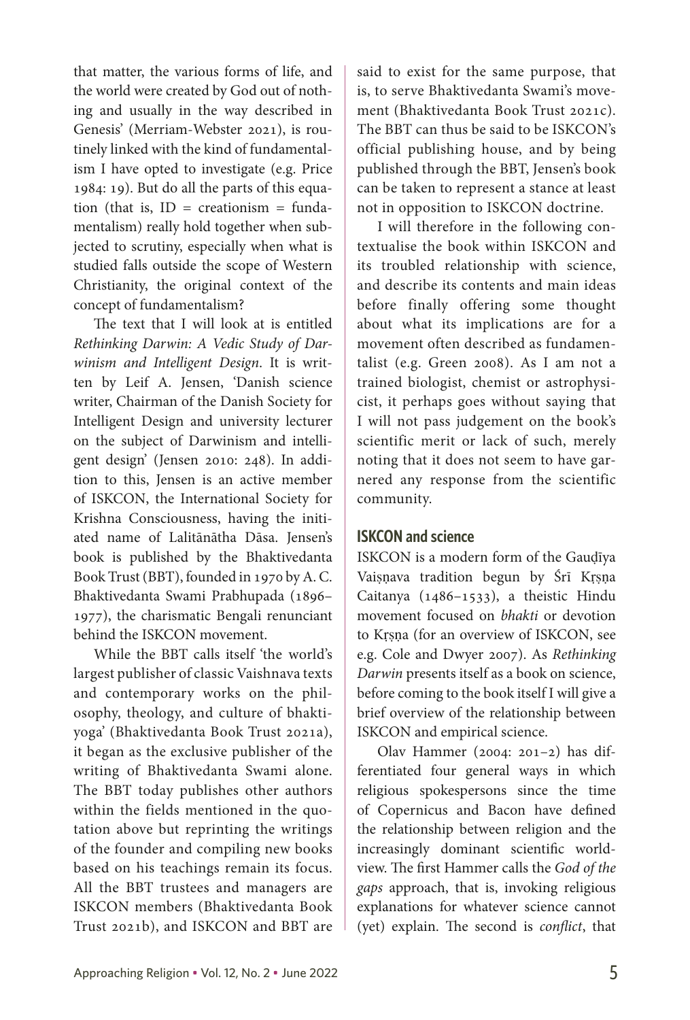that matter, the various forms of life, and the world were created by God out of nothing and usually in the way described in Genesis' (Merriam-Webster 2021), is routinely linked with the kind of fundamentalism I have opted to investigate (e.g. Price 1984: 19). But do all the parts of this equation (that is,  $ID = creationism = funda$ mentalism) really hold together when subjected to scrutiny, especially when what is studied falls outside the scope of Western Christianity, the original context of the concept of fundamentalism?

The text that I will look at is entitled *Rethinking Darwin: A Vedic Study of Darwinism and Intelligent Design*. It is written by Leif A. Jensen, 'Danish science writer, Chairman of the Danish Society for Intelligent Design and university lecturer on the subject of Darwinism and intelligent design' (Jensen 2010: 248). In addition to this, Jensen is an active member of ISKCON, the International Society for Krishna Consciousness, having the initiated name of Lalitānātha Dāsa. Jensen's book is published by the Bhaktivedanta Book Trust (BBT), founded in 1970 by A. C. Bhaktivedanta Swami Prabhupada (1896– 1977), the charismatic Bengali renunciant behind the ISKCON movement.

While the BBT calls itself 'the world's largest publisher of classic Vaishnava texts and contemporary works on the philosophy, theology, and culture of bhaktiyoga' (Bhaktivedanta Book Trust 2021a), it began as the exclusive publisher of the writing of Bhaktivedanta Swami alone. The BBT today publishes other authors within the fields mentioned in the quotation above but reprinting the writings of the founder and compiling new books based on his teachings remain its focus. All the BBT trustees and managers are ISKCON members (Bhaktivedanta Book Trust 2021b), and ISKCON and BBT are said to exist for the same purpose, that is, to serve Bhaktivedanta Swami's movement (Bhaktivedanta Book Trust 2021c). The BBT can thus be said to be ISKCON's official publishing house, and by being published through the BBT, Jensen's book can be taken to represent a stance at least not in opposition to ISKCON doctrine.

I will therefore in the following contextualise the book within ISKCON and its troubled relationship with science, and describe its contents and main ideas before finally offering some thought about what its implications are for a movement often described as fundamentalist (e.g. Green 2008). As I am not a trained biologist, chemist or astrophysicist, it perhaps goes without saying that I will not pass judgement on the book's scientific merit or lack of such, merely noting that it does not seem to have garnered any response from the scientific community.

# **ISKCON and science**

ISKCON is a modern form of the Gauḍīya Vaiṣṇava tradition begun by Śrī Kṛṣṇa Caitanya (1486–1533), a theistic Hindu movement focused on *bhakti* or devotion to Kṛṣṇa (for an overview of ISKCON, see e.g. Cole and Dwyer 2007). As *Rethinking Darwin* presents itself as a book on science, before coming to the book itself I will give a brief overview of the relationship between ISKCON and empirical science.

Olav Hammer (2004: 201–2) has differentiated four general ways in which religious spokespersons since the time of Copernicus and Bacon have defined the relationship between religion and the increasingly dominant scientific worldview. The first Hammer calls the *God of the gaps* approach, that is, invoking religious explanations for whatever science cannot (yet) explain. The second is *conflict*, that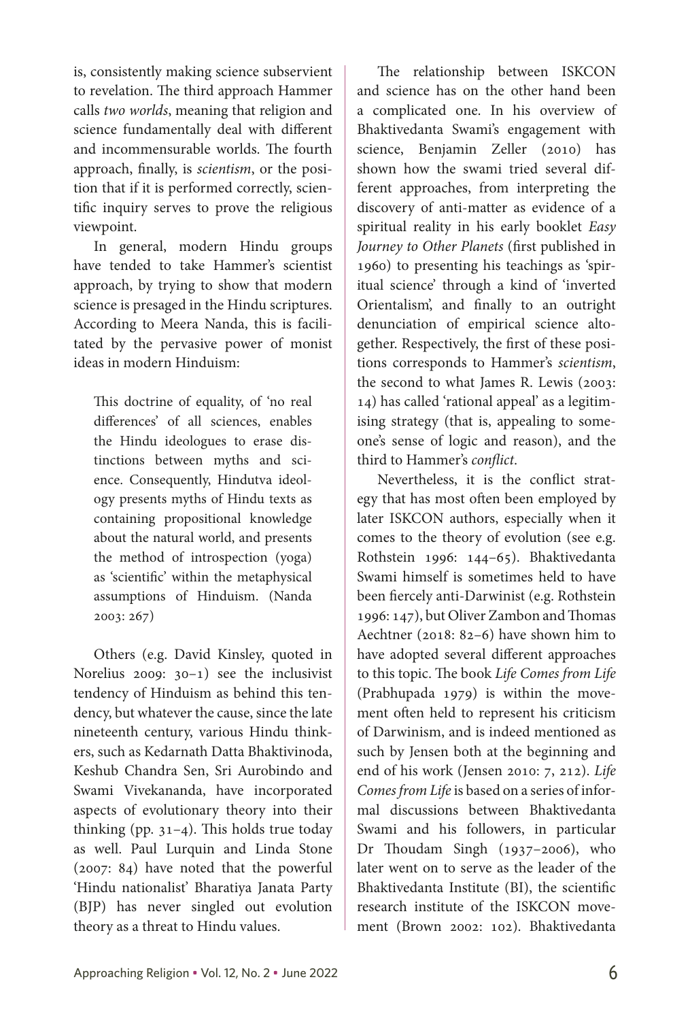is, consistently making science subservient to revelation. The third approach Hammer calls *two worlds*, meaning that religion and science fundamentally deal with different and incommensurable worlds. The fourth approach, finally, is *scientism*, or the position that if it is performed correctly, scientific inquiry serves to prove the religious viewpoint.

In general, modern Hindu groups have tended to take Hammer's scientist approach, by trying to show that modern science is presaged in the Hindu scriptures. According to Meera Nanda, this is facilitated by the pervasive power of monist ideas in modern Hinduism:

This doctrine of equality, of 'no real differences' of all sciences, enables the Hindu ideologues to erase distinctions between myths and science. Consequently, Hindutva ideology presents myths of Hindu texts as containing propositional knowledge about the natural world, and presents the method of introspection (yoga) as 'scientific' within the metaphysical assumptions of Hinduism. (Nanda 2003: 267)

Others (e.g. David Kinsley, quoted in Norelius 2009: 30–1) see the inclusivist tendency of Hinduism as behind this tendency, but whatever the cause, since the late nineteenth century, various Hindu thinkers, such as Kedarnath Datta Bhaktivinoda, Keshub Chandra Sen, Sri Aurobindo and Swami Vivekananda, have incorporated aspects of evolutionary theory into their thinking (pp.  $31-4$ ). This holds true today as well. Paul Lurquin and Linda Stone (2007: 84) have noted that the powerful 'Hindu nationalist' Bharatiya Janata Party (BJP) has never singled out evolution theory as a threat to Hindu values.

The relationship between ISKCON and science has on the other hand been a complicated one. In his overview of Bhaktivedanta Swami's engagement with science, Benjamin Zeller (2010) has shown how the swami tried several different approaches, from interpreting the discovery of anti-matter as evidence of a spiritual reality in his early booklet *Easy Journey to Other Planets* (first published in 1960) to presenting his teachings as 'spiritual science' through a kind of 'inverted Orientalism', and finally to an outright denunciation of empirical science altogether. Respectively, the first of these positions corresponds to Hammer's *scientism*, the second to what James R. Lewis (2003: 14) has called 'rational appeal' as a legitimising strategy (that is, appealing to someone's sense of logic and reason), and the third to Hammer's *conflict*.

Nevertheless, it is the conflict strategy that has most often been employed by later ISKCON authors, especially when it comes to the theory of evolution (see e.g. Rothstein 1996: 144–65). Bhaktivedanta Swami himself is sometimes held to have been fiercely anti-Darwinist (e.g. Rothstein 1996: 147), but Oliver Zambon and Thomas Aechtner (2018: 82–6) have shown him to have adopted several different approaches to this topic. The book *Life Comes from Life* (Prabhupada 1979) is within the movement often held to represent his criticism of Darwinism, and is indeed mentioned as such by Jensen both at the beginning and end of his work (Jensen 2010: 7, 212). *Life Comes from Life* is based on a series of informal discussions between Bhaktivedanta Swami and his followers, in particular Dr Thoudam Singh (1937–2006), who later went on to serve as the leader of the Bhaktivedanta Institute (BI), the scientific research institute of the ISKCON movement (Brown 2002: 102). Bhaktivedanta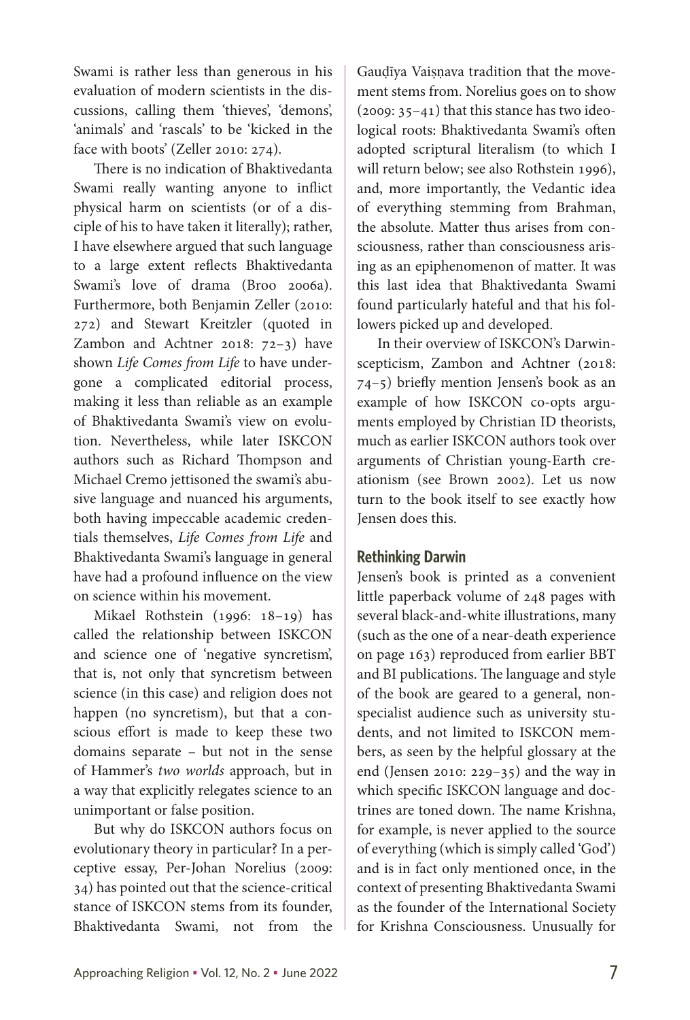Swami is rather less than generous in his evaluation of modern scientists in the discussions, calling them 'thieves', 'demons', 'animals' and 'rascals' to be 'kicked in the face with boots' (Zeller 2010: 274).

There is no indication of Bhaktivedanta Swami really wanting anyone to inflict physical harm on scientists (or of a disciple of his to have taken it literally); rather, I have elsewhere argued that such language to a large extent reflects Bhaktivedanta Swami's love of drama (Broo 2006a). Furthermore, both Benjamin Zeller (2010: 272) and Stewart Kreitzler (quoted in Zambon and Achtner 2018: 72–3) have shown *Life Comes from Life* to have undergone a complicated editorial process, making it less than reliable as an example of Bhaktivedanta Swami's view on evolution. Nevertheless, while later ISKCON authors such as Richard Thompson and Michael Cremo jettisoned the swami's abusive language and nuanced his arguments, both having impeccable academic credentials themselves, *Life Comes from Life* and Bhaktivedanta Swami's language in general have had a profound influence on the view on science within his movement.

Mikael Rothstein (1996: 18–19) has called the relationship between ISKCON and science one of 'negative syncretism', that is, not only that syncretism between science (in this case) and religion does not happen (no syncretism), but that a conscious effort is made to keep these two domains separate – but not in the sense of Hammer's *two worlds* approach, but in a way that explicitly relegates science to an unimportant or false position.

But why do ISKCON authors focus on evolutionary theory in particular? In a perceptive essay, Per-Johan Norelius (2009: 34) has pointed out that the science-critical stance of ISKCON stems from its founder, Bhaktivedanta Swami, not from the Gauḍīya Vaiṣṇava tradition that the movement stems from. Norelius goes on to show (2009: 35–41) that this stance has two ideological roots: Bhaktivedanta Swami's often adopted scriptural literalism (to which I will return below; see also Rothstein 1996), and, more importantly, the Vedantic idea of everything stemming from Brahman, the absolute. Matter thus arises from consciousness, rather than consciousness arising as an epiphenomenon of matter. It was this last idea that Bhaktivedanta Swami found particularly hateful and that his followers picked up and developed.

In their overview of ISKCON's Darwinscepticism, Zambon and Achtner (2018: 74–5) briefly mention Jensen's book as an example of how ISKCON co-opts arguments employed by Christian ID theorists, much as earlier ISKCON authors took over arguments of Christian young-Earth creationism (see Brown 2002). Let us now turn to the book itself to see exactly how Jensen does this.

# **Rethinking Darwin**

Jensen's book is printed as a convenient little paperback volume of 248 pages with several black-and-white illustrations, many (such as the one of a near-death experience on page 163) reproduced from earlier BBT and BI publications. The language and style of the book are geared to a general, nonspecialist audience such as university students, and not limited to ISKCON members, as seen by the helpful glossary at the end (Jensen 2010: 229–35) and the way in which specific ISKCON language and doctrines are toned down. The name Krishna, for example, is never applied to the source of everything (which is simply called 'God') and is in fact only mentioned once, in the context of presenting Bhaktivedanta Swami as the founder of the International Society for Krishna Consciousness. Unusually for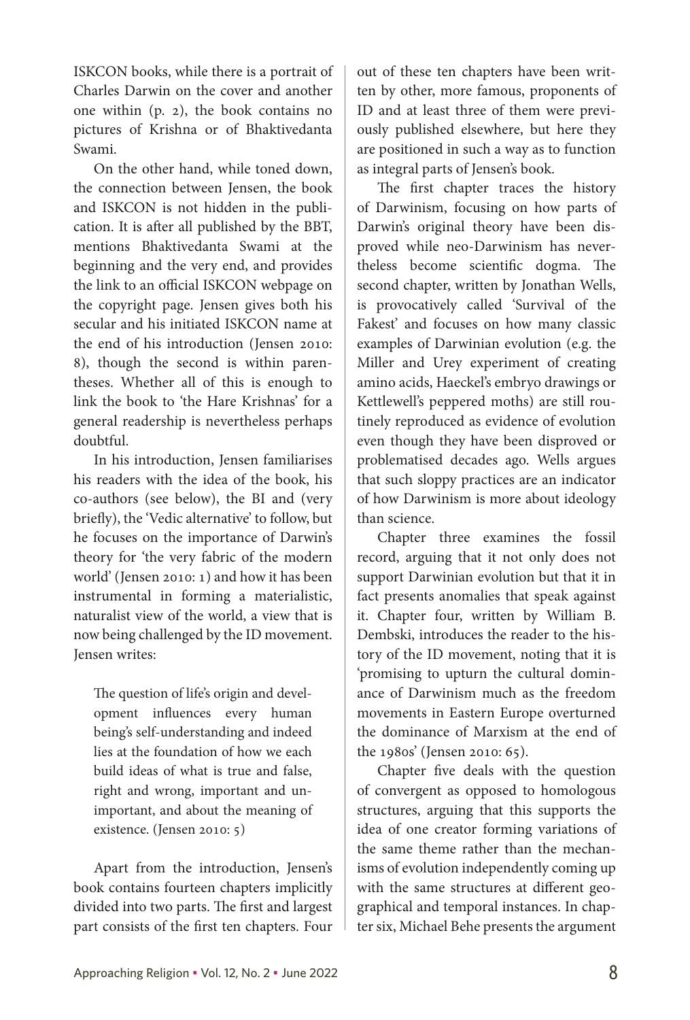ISKCON books, while there is a portrait of Charles Darwin on the cover and another one within (p. 2), the book contains no pictures of Krishna or of Bhaktivedanta Swami.

On the other hand, while toned down, the connection between Jensen, the book and ISKCON is not hidden in the publication. It is after all published by the BBT, mentions Bhaktivedanta Swami at the beginning and the very end, and provides the link to an official ISKCON webpage on the copyright page. Jensen gives both his secular and his initiated ISKCON name at the end of his introduction (Jensen 2010: 8), though the second is within parentheses. Whether all of this is enough to link the book to 'the Hare Krishnas' for a general readership is nevertheless perhaps doubtful.

In his introduction, Jensen familiarises his readers with the idea of the book, his co-authors (see below), the BI and (very briefly), the 'Vedic alternative' to follow, but he focuses on the importance of Darwin's theory for 'the very fabric of the modern world' (Jensen 2010: 1) and how it has been instrumental in forming a materialistic, naturalist view of the world, a view that is now being challenged by the ID movement. Jensen writes:

The question of life's origin and development influences every human being's self-understanding and indeed lies at the foundation of how we each build ideas of what is true and false, right and wrong, important and unimportant, and about the meaning of existence. (Jensen 2010: 5)

Apart from the introduction, Jensen's book contains fourteen chapters implicitly divided into two parts. The first and largest part consists of the first ten chapters. Four out of these ten chapters have been written by other, more famous, proponents of ID and at least three of them were previously published elsewhere, but here they are positioned in such a way as to function as integral parts of Jensen's book.

The first chapter traces the history of Darwinism, focusing on how parts of Darwin's original theory have been disproved while neo-Darwinism has nevertheless become scientific dogma. The second chapter, written by Jonathan Wells, is provocatively called 'Survival of the Fakest' and focuses on how many classic examples of Darwinian evolution (e.g. the Miller and Urey experiment of creating amino acids, Haeckel's embryo drawings or Kettlewell's peppered moths) are still routinely reproduced as evidence of evolution even though they have been disproved or problematised decades ago. Wells argues that such sloppy practices are an indicator of how Darwinism is more about ideology than science.

Chapter three examines the fossil record, arguing that it not only does not support Darwinian evolution but that it in fact presents anomalies that speak against it. Chapter four, written by William B. Dembski, introduces the reader to the history of the ID movement, noting that it is 'promising to upturn the cultural dominance of Darwinism much as the freedom movements in Eastern Europe overturned the dominance of Marxism at the end of the 1980s' (Jensen 2010: 65).

Chapter five deals with the question of convergent as opposed to homologous structures, arguing that this supports the idea of one creator forming variations of the same theme rather than the mechanisms of evolution independently coming up with the same structures at different geographical and temporal instances. In chapter six, Michael Behe presents the argument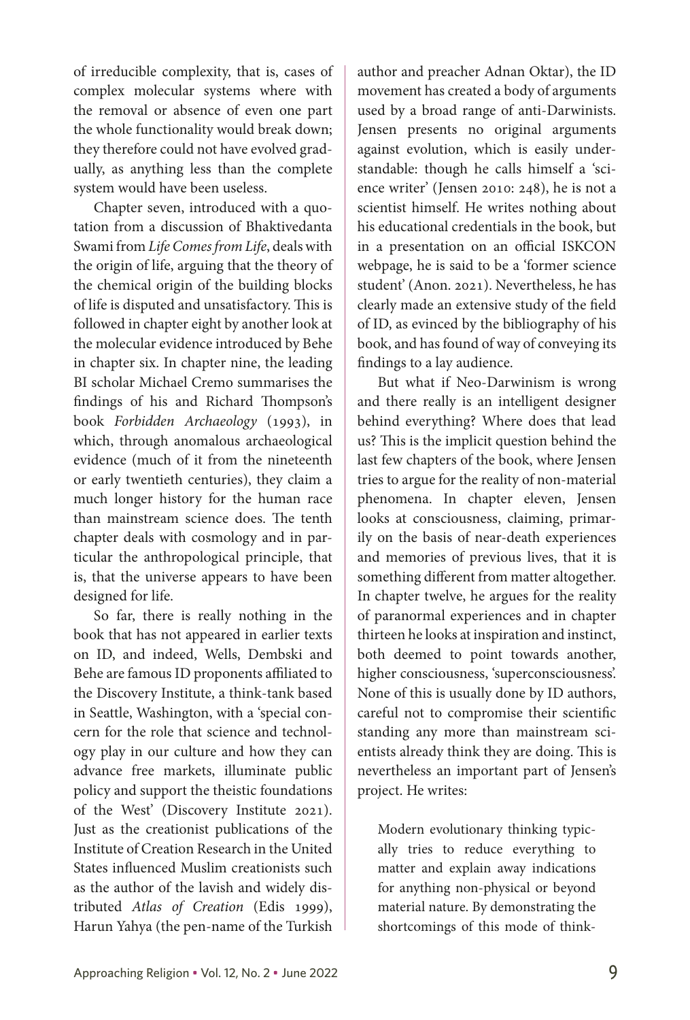of irreducible complexity, that is, cases of complex molecular systems where with the removal or absence of even one part the whole functionality would break down; they therefore could not have evolved gradually, as anything less than the complete system would have been useless.

Chapter seven, introduced with a quotation from a discussion of Bhaktivedanta Swami from *Life Comes from Life*, deals with the origin of life, arguing that the theory of the chemical origin of the building blocks of life is disputed and unsatisfactory. This is followed in chapter eight by another look at the molecular evidence introduced by Behe in chapter six. In chapter nine, the leading BI scholar Michael Cremo summarises the findings of his and Richard Thompson's book *Forbidden Archaeology* (1993), in which, through anomalous archaeological evidence (much of it from the nineteenth or early twentieth centuries), they claim a much longer history for the human race than mainstream science does. The tenth chapter deals with cosmology and in particular the anthropological principle, that is, that the universe appears to have been designed for life.

So far, there is really nothing in the book that has not appeared in earlier texts on ID, and indeed, Wells, Dembski and Behe are famous ID proponents affiliated to the Discovery Institute, a think-tank based in Seattle, Washington, with a 'special concern for the role that science and technology play in our culture and how they can advance free markets, illuminate public policy and support the theistic foundations of the West' (Discovery Institute 2021). Just as the creationist publications of the Institute of Creation Research in the United States influenced Muslim creationists such as the author of the lavish and widely distributed *Atlas of Creation* (Edis 1999), Harun Yahya (the pen-name of the Turkish author and preacher Adnan Oktar), the ID movement has created a body of arguments used by a broad range of anti-Darwinists. Jensen presents no original arguments against evolution, which is easily understandable: though he calls himself a 'science writer' (Jensen 2010: 248), he is not a scientist himself. He writes nothing about his educational credentials in the book, but in a presentation on an official ISKCON webpage, he is said to be a 'former science student' (Anon. 2021). Nevertheless, he has clearly made an extensive study of the field of ID, as evinced by the bibliography of his book, and has found of way of conveying its findings to a lay audience.

But what if Neo-Darwinism is wrong and there really is an intelligent designer behind everything? Where does that lead us? This is the implicit question behind the last few chapters of the book, where Jensen tries to argue for the reality of non-material phenomena. In chapter eleven, Jensen looks at consciousness, claiming, primarily on the basis of near-death experiences and memories of previous lives, that it is something different from matter altogether. In chapter twelve, he argues for the reality of paranormal experiences and in chapter thirteen he looks at inspiration and instinct, both deemed to point towards another, higher consciousness, 'superconsciousness'. None of this is usually done by ID authors, careful not to compromise their scientific standing any more than mainstream scientists already think they are doing. This is nevertheless an important part of Jensen's project. He writes:

Modern evolutionary thinking typically tries to reduce everything to matter and explain away indications for anything non-physical or beyond material nature. By demonstrating the shortcomings of this mode of think-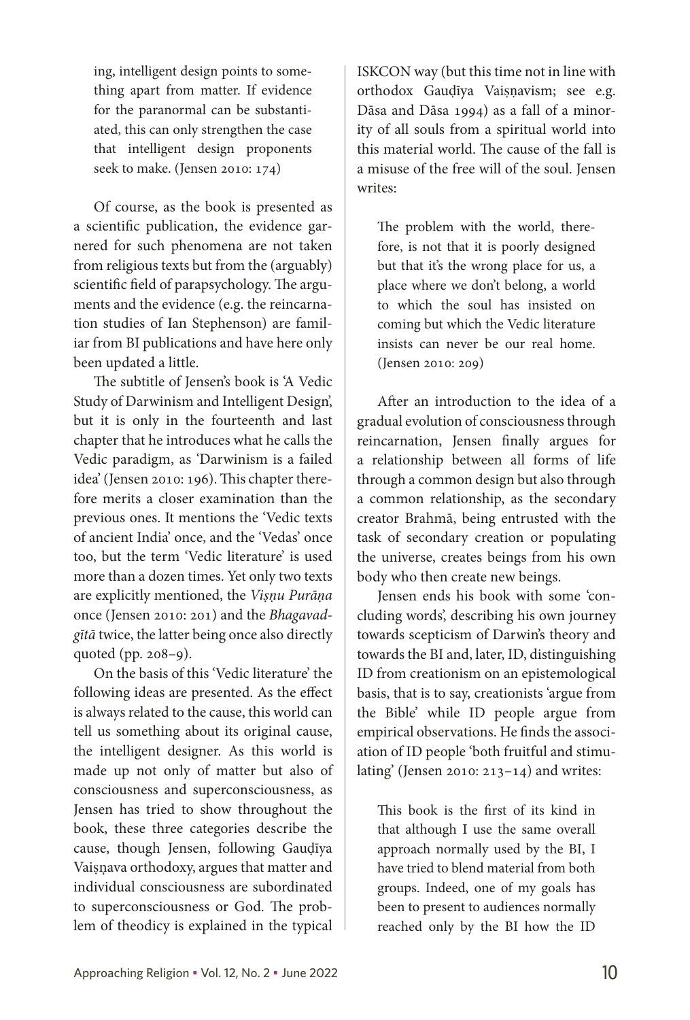ing, intelligent design points to something apart from matter. If evidence for the paranormal can be substantiated, this can only strengthen the case that intelligent design proponents seek to make. (Jensen 2010: 174)

Of course, as the book is presented as a scientific publication, the evidence garnered for such phenomena are not taken from religious texts but from the (arguably) scientific field of parapsychology. The arguments and the evidence (e.g. the reincarnation studies of Ian Stephenson) are familiar from BI publications and have here only been updated a little.

The subtitle of Jensen's book is 'A Vedic Study of Darwinism and Intelligent Design', but it is only in the fourteenth and last chapter that he introduces what he calls the Vedic paradigm, as 'Darwinism is a failed idea' (Jensen 2010: 196). This chapter therefore merits a closer examination than the previous ones. It mentions the 'Vedic texts of ancient India' once, and the 'Vedas' once too, but the term 'Vedic literature' is used more than a dozen times. Yet only two texts are explicitly mentioned, the *Viṣṇu Purāṇa* once (Jensen 2010: 201) and the *Bhagavadgītā* twice, the latter being once also directly quoted (pp. 208–9).

On the basis of this 'Vedic literature' the following ideas are presented. As the effect is always related to the cause, this world can tell us something about its original cause, the intelligent designer. As this world is made up not only of matter but also of consciousness and superconsciousness, as Jensen has tried to show throughout the book, these three categories describe the cause, though Jensen, following Gauḍīya Vaiṣņava orthodoxy, argues that matter and individual consciousness are subordinated to superconsciousness or God. The problem of theodicy is explained in the typical

ISKCON way (but this time not in line with orthodox Gauḍīya Vaiṣṇavism; see e.g. Dāsa and Dāsa 1994) as a fall of a minority of all souls from a spiritual world into this material world. The cause of the fall is a misuse of the free will of the soul. Jensen writes:

The problem with the world, therefore, is not that it is poorly designed but that it's the wrong place for us, a place where we don't belong, a world to which the soul has insisted on coming but which the Vedic literature insists can never be our real home. (Jensen 2010: 209)

After an introduction to the idea of a gradual evolution of consciousness through reincarnation, Jensen finally argues for a relationship between all forms of life through a common design but also through a common relationship, as the secondary creator Brahmā, being entrusted with the task of secondary creation or populating the universe, creates beings from his own body who then create new beings.

Jensen ends his book with some 'concluding words', describing his own journey towards scepticism of Darwin's theory and towards the BI and, later, ID, distinguishing ID from creationism on an epistemological basis, that is to say, creationists 'argue from the Bible' while ID people argue from empirical observations. He finds the association of ID people 'both fruitful and stimulating' (Jensen 2010:  $213-14$ ) and writes:

This book is the first of its kind in that although I use the same overall approach normally used by the BI, I have tried to blend material from both groups. Indeed, one of my goals has been to present to audiences normally reached only by the BI how the ID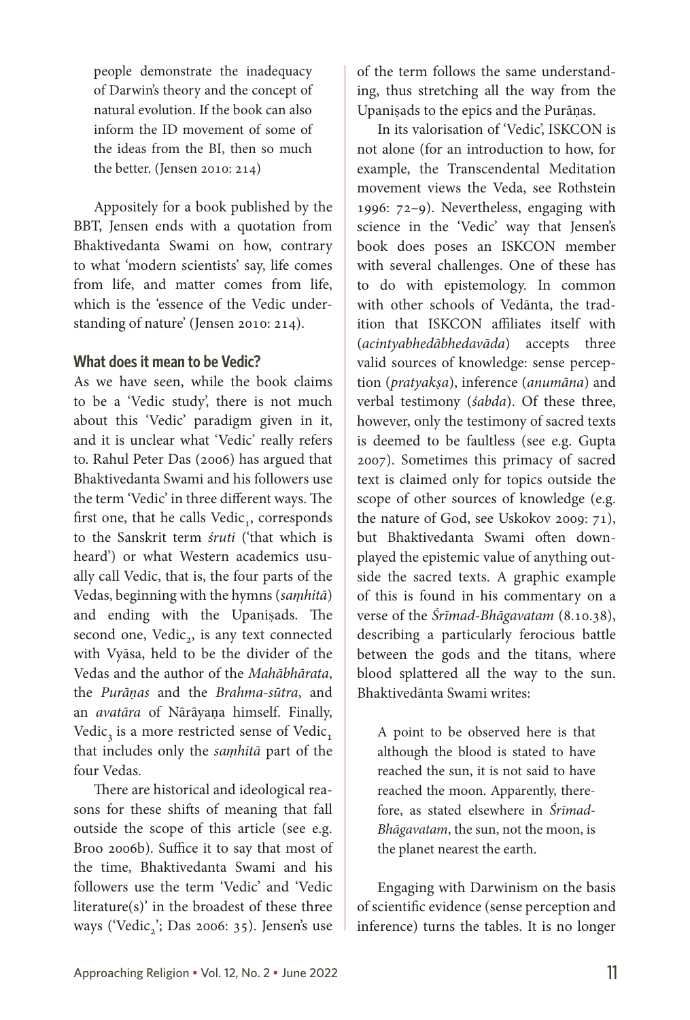people demonstrate the inadequacy of Darwin's theory and the concept of natural evolution. If the book can also inform the ID movement of some of the ideas from the BI, then so much the better. (Jensen 2010: 214)

Appositely for a book published by the BBT, Jensen ends with a quotation from Bhaktivedanta Swami on how, contrary to what 'modern scientists' say, life comes from life, and matter comes from life, which is the 'essence of the Vedic understanding of nature' (Jensen 2010: 214).

### **What does it mean to be Vedic?**

As we have seen, while the book claims to be a 'Vedic study', there is not much about this 'Vedic' paradigm given in it, and it is unclear what 'Vedic' really refers to. Rahul Peter Das (2006) has argued that Bhaktivedanta Swami and his followers use the term 'Vedic' in three different ways. The first one, that he calls  $Vedic<sub>1</sub>$ , corresponds to the Sanskrit term *śruti* ('that which is heard') or what Western academics usually call Vedic, that is, the four parts of the Vedas, beginning with the hymns (*saṃhitā*) and ending with the Upaniṣads. The second one, Vedic<sub>2</sub>, is any text connected with Vyāsa, held to be the divider of the Vedas and the author of the *Mahābhārata*, the *Purāṇas* and the *Brahma-sūtra*, and an *avatāra* of Nārāyaṇa himself. Finally, Vedic<sub>3</sub> is a more restricted sense of Vedic<sub>1</sub> that includes only the *saṃhitā* part of the four Vedas.

There are historical and ideological reasons for these shifts of meaning that fall outside the scope of this article (see e.g. Broo 2006b). Suffice it to say that most of the time, Bhaktivedanta Swami and his followers use the term 'Vedic' and 'Vedic literature(s)' in the broadest of these three ways ('Vedic,'; Das 2006: 35). Jensen's use of the term follows the same understanding, thus stretching all the way from the Upaniṣads to the epics and the Purāṇas.

In its valorisation of 'Vedic', ISKCON is not alone (for an introduction to how, for example, the Transcendental Meditation movement views the Veda, see Rothstein 1996: 72–9). Nevertheless, engaging with science in the 'Vedic' way that Jensen's book does poses an ISKCON member with several challenges. One of these has to do with epistemology. In common with other schools of Vedānta, the tradition that ISKCON affiliates itself with (*acintyabhedābhedavāda*) accepts three valid sources of knowledge: sense perception (*pratyakṣa*), inference (*anumāna*) and verbal testimony (*śabda*). Of these three, however, only the testimony of sacred texts is deemed to be faultless (see e.g. Gupta 2007). Sometimes this primacy of sacred text is claimed only for topics outside the scope of other sources of knowledge (e.g. the nature of God, see Uskokov 2009: 71), but Bhaktivedanta Swami often downplayed the epistemic value of anything outside the sacred texts. A graphic example of this is found in his commentary on a verse of the *Śrīmad-Bhāgavatam* (8.10.38), describing a particularly ferocious battle between the gods and the titans, where blood splattered all the way to the sun. Bhaktivedānta Swami writes:

A point to be observed here is that although the blood is stated to have reached the sun, it is not said to have reached the moon. Apparently, therefore, as stated elsewhere in *Śrīmad-Bhāgavatam*, the sun, not the moon, is the planet nearest the earth.

Engaging with Darwinism on the basis of scientific evidence (sense perception and inference) turns the tables. It is no longer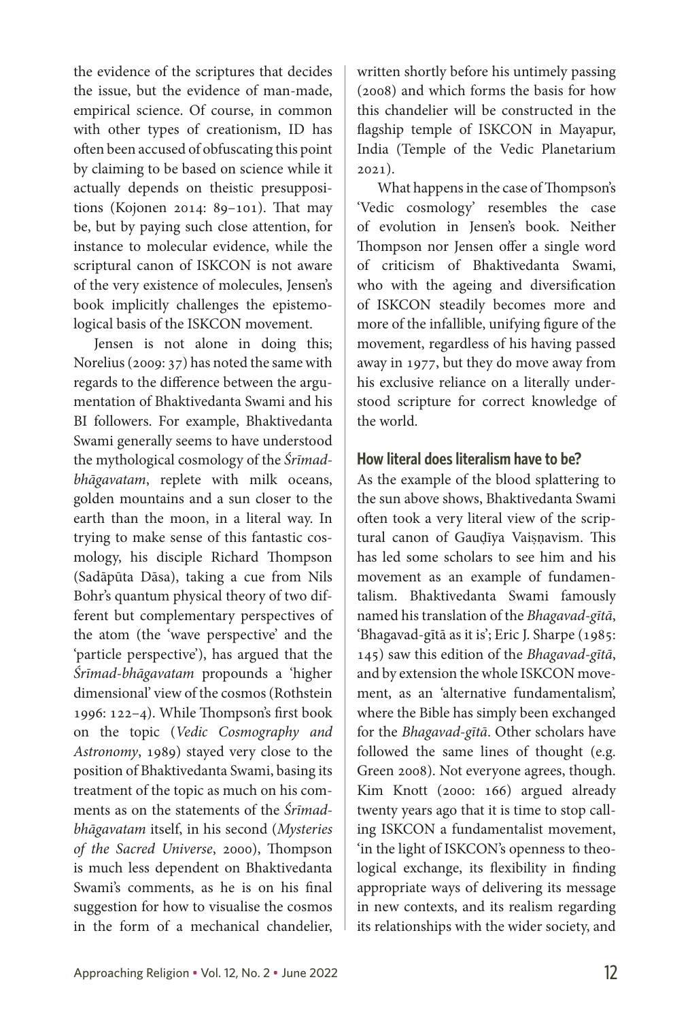the evidence of the scriptures that decides the issue, but the evidence of man-made, empirical science. Of course, in common with other types of creationism, ID has often been accused of obfuscating this point by claiming to be based on science while it actually depends on theistic presuppositions (Kojonen 2014: 89–101). That may be, but by paying such close attention, for instance to molecular evidence, while the scriptural canon of ISKCON is not aware of the very existence of molecules, Jensen's book implicitly challenges the epistemological basis of the ISKCON movement.

Jensen is not alone in doing this; Norelius (2009: 37) has noted the same with regards to the difference between the argumentation of Bhaktivedanta Swami and his BI followers. For example, Bhaktivedanta Swami generally seems to have understood the mythological cosmology of the *Śrīmadbhāgavatam*, replete with milk oceans, golden mountains and a sun closer to the earth than the moon, in a literal way. In trying to make sense of this fantastic cosmology, his disciple Richard Thompson (Sadāpūta Dāsa), taking a cue from Nils Bohr's quantum physical theory of two different but complementary perspectives of the atom (the 'wave perspective' and the 'particle perspective'), has argued that the *Śrīmad-bhāgavatam* propounds a 'higher dimensional' view of the cosmos (Rothstein 1996: 122–4). While Thompson's first book on the topic (*Vedic Cosmography and Astronomy*, 1989) stayed very close to the position of Bhaktivedanta Swami, basing its treatment of the topic as much on his comments as on the statements of the *Śrīmadbhāgavatam* itself, in his second (*Mysteries of the Sacred Universe*, 2000), Thompson is much less dependent on Bhaktivedanta Swami's comments, as he is on his final suggestion for how to visualise the cosmos in the form of a mechanical chandelier,

written shortly before his untimely passing (2008) and which forms the basis for how this chandelier will be constructed in the flagship temple of ISKCON in Mayapur, India (Temple of the Vedic Planetarium 2021).

What happens in the case of Thompson's 'Vedic cosmology' resembles the case of evolution in Jensen's book. Neither Thompson nor Jensen offer a single word of criticism of Bhaktivedanta Swami, who with the ageing and diversification of ISKCON steadily becomes more and more of the infallible, unifying figure of the movement, regardless of his having passed away in 1977, but they do move away from his exclusive reliance on a literally understood scripture for correct knowledge of the world.

## **How literal does literalism have to be?**

As the example of the blood splattering to the sun above shows, Bhaktivedanta Swami often took a very literal view of the scriptural canon of Gaudīya Vaisnavism. This has led some scholars to see him and his movement as an example of fundamentalism. Bhaktivedanta Swami famously named his translation of the *Bhagavad-gītā*, 'Bhagavad-gītā as it is'; Eric J. Sharpe (1985: 145) saw this edition of the *Bhagavad-gītā*, and by extension the whole ISKCON movement, as an 'alternative fundamentalism', where the Bible has simply been exchanged for the *Bhagavad-gītā*. Other scholars have followed the same lines of thought (e.g. Green 2008). Not everyone agrees, though. Kim Knott (2000: 166) argued already twenty years ago that it is time to stop calling ISKCON a fundamentalist movement, 'in the light of ISKCON's openness to theological exchange, its flexibility in finding appropriate ways of delivering its message in new contexts, and its realism regarding its relationships with the wider society, and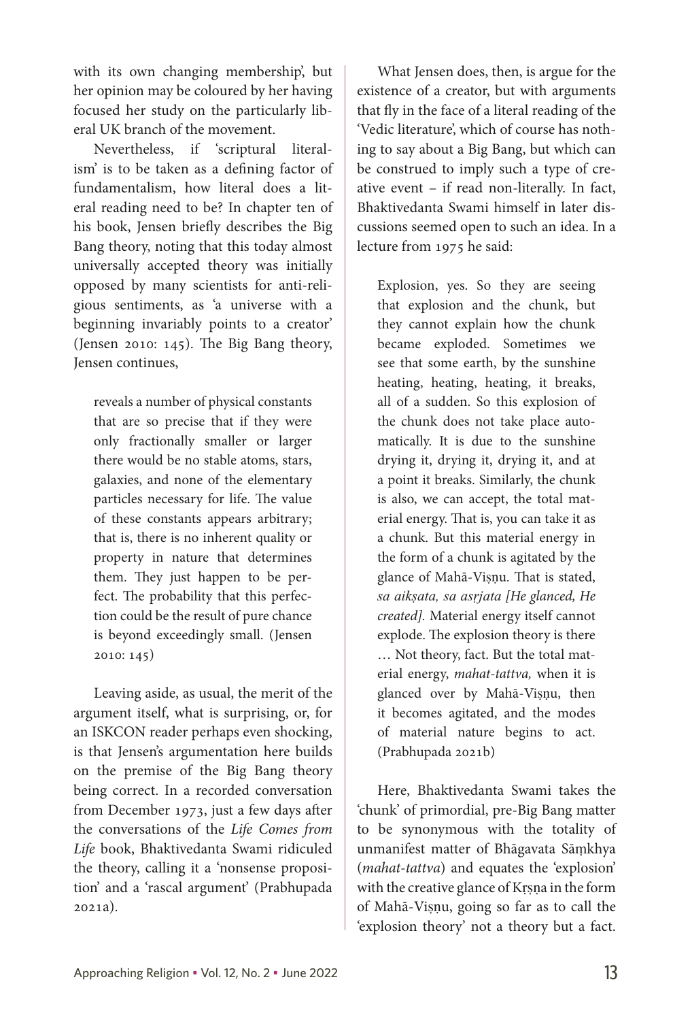with its own changing membership', but her opinion may be coloured by her having focused her study on the particularly liberal UK branch of the movement.

Nevertheless, if 'scriptural literalism' is to be taken as a defining factor of fundamentalism, how literal does a literal reading need to be? In chapter ten of his book, Jensen briefly describes the Big Bang theory, noting that this today almost universally accepted theory was initially opposed by many scientists for anti-religious sentiments, as 'a universe with a beginning invariably points to a creator' (Jensen 2010: 145). The Big Bang theory, Jensen continues,

reveals a number of physical constants that are so precise that if they were only fractionally smaller or larger there would be no stable atoms, stars, galaxies, and none of the elementary particles necessary for life. The value of these constants appears arbitrary; that is, there is no inherent quality or property in nature that determines them. They just happen to be perfect. The probability that this perfection could be the result of pure chance is beyond exceedingly small. (Jensen 2010: 145)

Leaving aside, as usual, the merit of the argument itself, what is surprising, or, for an ISKCON reader perhaps even shocking, is that Jensen's argumentation here builds on the premise of the Big Bang theory being correct. In a recorded conversation from December 1973, just a few days after the conversations of the *Life Comes from Life* book, Bhaktivedanta Swami ridiculed the theory, calling it a 'nonsense proposition' and a 'rascal argument' (Prabhupada 2021a).

What Jensen does, then, is argue for the existence of a creator, but with arguments that fly in the face of a literal reading of the 'Vedic literature', which of course has nothing to say about a Big Bang, but which can be construed to imply such a type of creative event – if read non-literally. In fact, Bhaktivedanta Swami himself in later discussions seemed open to such an idea. In a lecture from 1975 he said:

Explosion, yes. So they are seeing that explosion and the chunk, but they cannot explain how the chunk became exploded. Sometimes we see that some earth, by the sunshine heating, heating, heating, it breaks, all of a sudden. So this explosion of the chunk does not take place automatically. It is due to the sunshine drying it, drying it, drying it, and at a point it breaks. Similarly, the chunk is also, we can accept, the total material energy. That is, you can take it as a chunk. But this material energy in the form of a chunk is agitated by the glance of Mahā-Viṣṇu. That is stated, *sa aikṣata, sa asṛjata [He glanced, He created].* Material energy itself cannot explode. The explosion theory is there … Not theory, fact. But the total material energy, *mahat-tattva,* when it is glanced over by Mahā-Viṣṇu, then it becomes agitated, and the modes of material nature begins to act. (Prabhupada 2021b)

Here, Bhaktivedanta Swami takes the 'chunk' of primordial, pre-Big Bang matter to be synonymous with the totality of unmanifest matter of Bhāgavata Sāṃkhya (*mahat-tattva*) and equates the 'explosion' with the creative glance of Kṛṣṇa in the form of Mahā-Viṣṇu, going so far as to call the 'explosion theory' not a theory but a fact.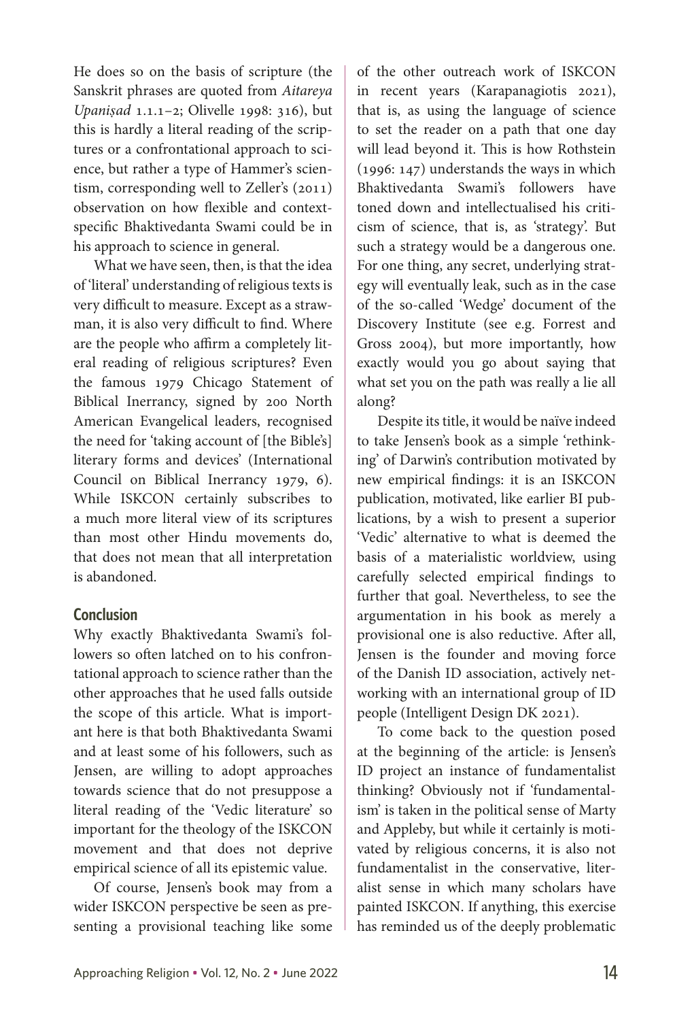He does so on the basis of scripture (the Sanskrit phrases are quoted from *Aitareya Upaniṣad* 1.1.1–2; Olivelle 1998: 316), but this is hardly a literal reading of the scriptures or a confrontational approach to science, but rather a type of Hammer's scientism, corresponding well to Zeller's (2011) observation on how flexible and contextspecific Bhaktivedanta Swami could be in his approach to science in general.

What we have seen, then, is that the idea of 'literal' understanding of religious texts is very difficult to measure. Except as a strawman, it is also very difficult to find. Where are the people who affirm a completely literal reading of religious scriptures? Even the famous 1979 Chicago Statement of Biblical Inerrancy, signed by 200 North American Evangelical leaders, recognised the need for 'taking account of [the Bible's] literary forms and devices' (International Council on Biblical Inerrancy 1979, 6). While ISKCON certainly subscribes to a much more literal view of its scriptures than most other Hindu movements do, that does not mean that all interpretation is abandoned.

### **Conclusion**

Why exactly Bhaktivedanta Swami's followers so often latched on to his confrontational approach to science rather than the other approaches that he used falls outside the scope of this article. What is important here is that both Bhaktivedanta Swami and at least some of his followers, such as Jensen, are willing to adopt approaches towards science that do not presuppose a literal reading of the 'Vedic literature' so important for the theology of the ISKCON movement and that does not deprive empirical science of all its epistemic value.

Of course, Jensen's book may from a wider ISKCON perspective be seen as presenting a provisional teaching like some of the other outreach work of ISKCON in recent years (Karapanagiotis 2021), that is, as using the language of science to set the reader on a path that one day will lead beyond it. This is how Rothstein (1996: 147) understands the ways in which Bhaktivedanta Swami's followers have toned down and intellectualised his criticism of science, that is, as 'strategy'. But such a strategy would be a dangerous one. For one thing, any secret, underlying strategy will eventually leak, such as in the case of the so-called 'Wedge' document of the Discovery Institute (see e.g. Forrest and Gross 2004), but more importantly, how exactly would you go about saying that what set you on the path was really a lie all along?

Despite its title, it would be naïve indeed to take Jensen's book as a simple 'rethinking' of Darwin's contribution motivated by new empirical findings: it is an ISKCON publication, motivated, like earlier BI publications, by a wish to present a superior 'Vedic' alternative to what is deemed the basis of a materialistic worldview, using carefully selected empirical findings to further that goal. Nevertheless, to see the argumentation in his book as merely a provisional one is also reductive. After all, Jensen is the founder and moving force of the Danish ID association, actively networking with an international group of ID people (Intelligent Design DK 2021).

To come back to the question posed at the beginning of the article: is Jensen's ID project an instance of fundamentalist thinking? Obviously not if 'fundamentalism' is taken in the political sense of Marty and Appleby, but while it certainly is motivated by religious concerns, it is also not fundamentalist in the conservative, literalist sense in which many scholars have painted ISKCON. If anything, this exercise has reminded us of the deeply problematic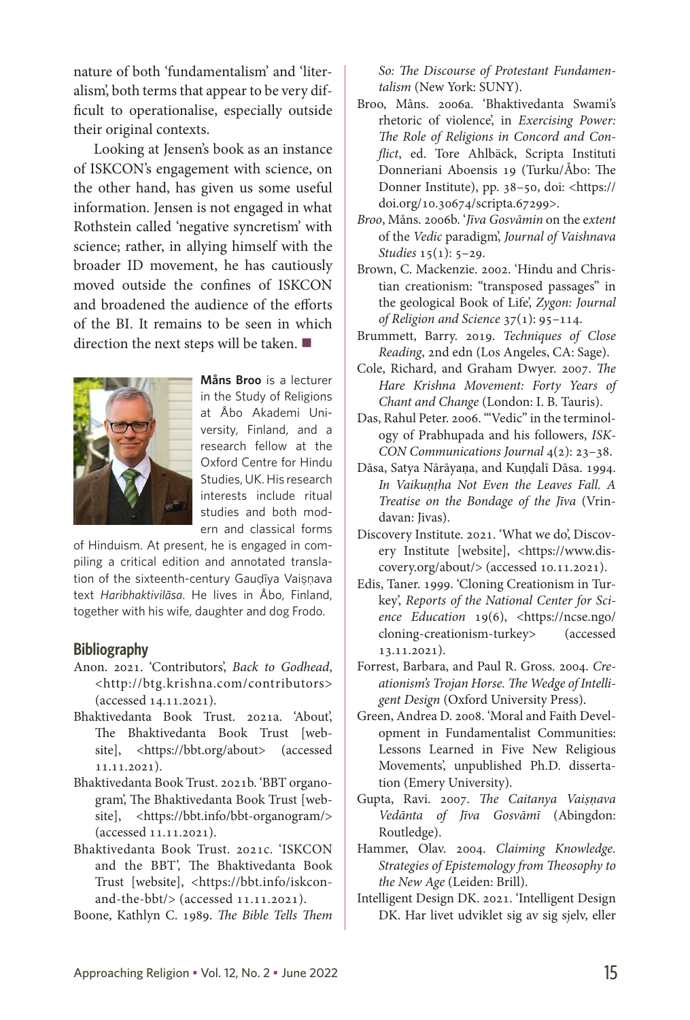nature of both 'fundamentalism' and 'literalism', both terms that appear to be very difficult to operationalise, especially outside their original contexts.

Looking at Jensen's book as an instance of ISKCON's engagement with science, on the other hand, has given us some useful information. Jensen is not engaged in what Rothstein called 'negative syncretism' with science; rather, in allying himself with the broader ID movement, he has cautiously moved outside the confines of ISKCON and broadened the audience of the efforts of the BI. It remains to be seen in which direction the next steps will be taken.  $\blacksquare$ 



**Måns Broo** is a lecturer in the Study of Religions at Åbo Akademi University, Finland, and a research fellow at the Oxford Centre for Hindu Studies, UK. His research interests include ritual studies and both modern and classical forms

of Hinduism. At present, he is engaged in compiling a critical edition and annotated translation of the sixteenth-century Gauḍīya Vaiṣṇava text *Haribhaktivilāsa*. He lives in Åbo, Finland, together with his wife, daughter and dog Frodo.

#### **Bibliography**

- Anon. 2021. 'Contributors', *Back to Godhead*, <http://btg.krishna.com/contributors> (accessed 14.11.2021).
- Bhaktivedanta Book Trust. 2021a. 'About', The Bhaktivedanta Book Trust [website], <https://bbt.org/about> (accessed 11.11.2021).
- Bhaktivedanta Book Trust. 2021b. 'BBT organogram', The Bhaktivedanta Book Trust [website], <https://bbt.info/bbt-organogram/> (accessed 11.11.2021).
- Bhaktivedanta Book Trust. 2021c. 'ISKCON and the BBT', The Bhaktivedanta Book Trust [website], <https://bbt.info/iskconand-the-bbt/> (accessed 11.11.2021).
- Boone, Kathlyn C. 1989. *The Bible Tells Them*

*So: The Discourse of Protestant Fundamentalism* (New York: SUNY).

- Broo, Måns. 2006a. 'Bhaktivedanta Swami's rhetoric of violence', in *Exercising Power: The Role of Religions in Concord and Conflict*, ed. Tore Ahlbäck, Scripta Instituti Donneriani Aboensis 19 (Turku/Åbo: The Donner Institute), pp. 38–50, doi: <https:// doi.org/10.30674/scripta.67299>.
- *Broo*, Måns. 2006b. '*Jīva Gosvāmin* on the e*xtent* of the *Vedic* paradigm', *Journal of Vaishnava Studies* 15(1): 5–29.
- Brown, C. Mackenzie. 2002. 'Hindu and Christian creationism: "transposed passages" in the geological Book of Life', *Zygon: Journal of Religion and Science* 37(1): 95–114.
- Brummett, Barry. 2019. *Techniques of Close Reading*, 2nd edn (Los Angeles, CA: Sage).
- Cole, Richard, and Graham Dwyer. 2007. *The Hare Krishna Movement: Forty Years of Chant and Change* (London: [I. B. Tauris\)](https://en.wikipedia.org/wiki/I._B._Tauris).
- Das, Rahul Peter. 2006. '"Vedic" in the terminology of Prabhupada and his followers, *ISK-CON Communications Journal* 4(2): 23–38.
- Dāsa, Satya Nārāyaṇa, and Kuṇḍalī Dāsa. 1994. *In Vaikuṇṭha Not Even the Leaves Fall. A Treatise on the Bondage of the Jīva* (Vrindavan: Jivas).
- Discovery Institute. 2021. 'What we do', Discovery Institute [website], <https://www.discovery.org/about/> (accessed 10.11.2021).
- Edis, Taner. 1999. 'Cloning Creationism in Turkey', *Reports of the National Center for Science Education* 19(6), <https://ncse.ngo/ cloning-creationism-turkey> (accessed 13.11.2021).
- Forrest, Barbara, and Paul R. Gross. 2004. *Creationism's Trojan Horse. The Wedge of Intelligent Design* (Oxford University Press).
- Green, Andrea D. 2008. 'Moral and Faith Development in Fundamentalist Communities: Lessons Learned in Five New Religious Movements', unpublished Ph.D. dissertation (Emery University).
- Gupta, Ravi. 2007. *The Caitanya Vaiṣṇava Vedānta of Jīva Gosvāmī* (Abingdon: Routledge).
- Hammer, Olav. 2004. *Claiming Knowledge. Strategies of Epistemology from Theosophy to the New Age* (Leiden: Brill).
- Intelligent Design DK. 2021. 'Intelligent Design DK. Har livet udviklet sig av sig sjelv, eller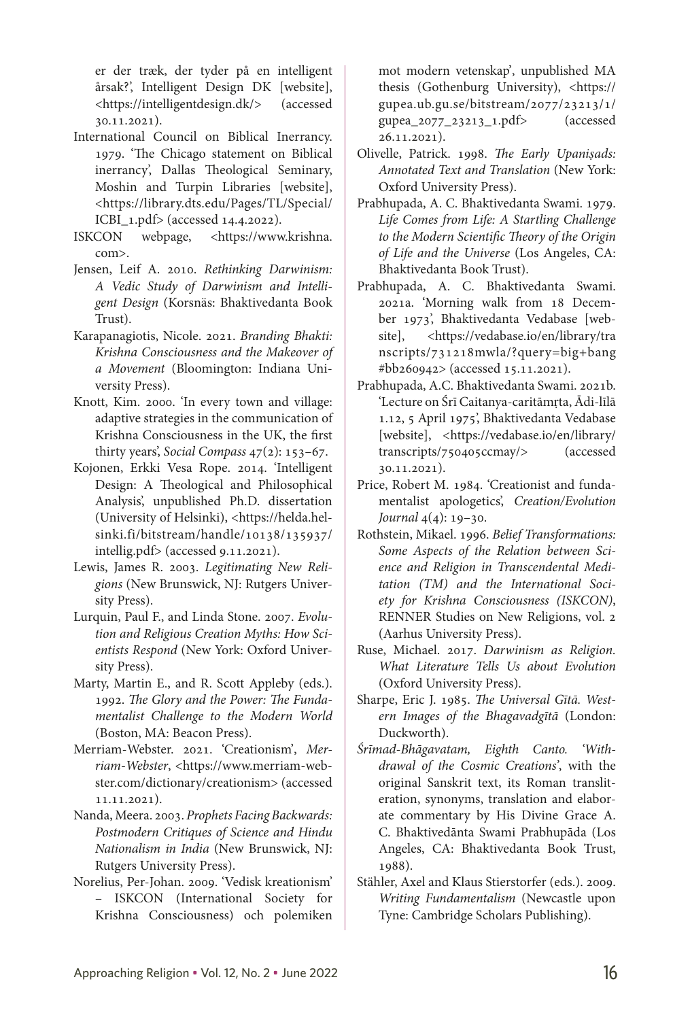er der træk, der tyder på en intelligent årsak?', Intelligent Design DK [website], <https://intelligentdesign.dk/> (accessed 30.11.2021).

- International Council on Biblical Inerrancy. 1979. 'The Chicago statement on Biblical inerrancy', Dallas Theological Seminary, Moshin and Turpin Libraries [website], <https://library.dts.edu/Pages/TL/Special/ ICBI\_1.pdf> (accessed 14.4.2022).
- ISKCON webpage, <https://www.krishna. com>.
- Jensen, Leif A. 2010. *Rethinking Darwinism: A Vedic Study of Darwinism and Intelligent Design* (Korsnäs: Bhaktivedanta Book Trust).
- Karapanagiotis, Nicole. 2021. *Branding Bhakti: Krishna Consciousness and the Makeover of a Movement* (Bloomington: Indiana University Press).
- Knott, Kim. 2000. 'In every town and village: adaptive strategies in the communication of Krishna Consciousness in the UK, the first thirty years', *Social Compass* 47(2): 153–67.
- Kojonen, Erkki Vesa Rope. 2014. 'Intelligent Design: A Theological and Philosophical Analysis', unpublished Ph.D. dissertation (University of Helsinki), <https://helda.helsinki.fi/bitstream/handle/10138/135937/ intellig.pdf> (accessed 9.11.2021).
- Lewis, James R. 2003. *Legitimating New Religions* (New Brunswick, NJ: Rutgers University Press).
- Lurquin, Paul F., and Linda Stone. 2007. *Evolution and Religious Creation Myths: How Scientists Respond* (New York: Oxford University Press).
- Marty, Martin E., and R. Scott Appleby (eds.). 1992. *The Glory and the Power: The Fundamentalist Challenge to the Modern World* (Boston, MA: Beacon Press).
- Merriam-Webster. 2021. 'Creationism', Mer*riam-Webster*, <https://www.merriam-webster.com/dictionary/creationism> (accessed 11.11.2021).
- Nanda, Meera. 2003. *Prophets Facing Backwards: Postmodern Critiques of Science and Hindu Nationalism in India* (New Brunswick, NJ: Rutgers University Press).
- Norelius, Per-Johan. 2009. 'Vedisk kreationism' – ISKCON (International Society for Krishna Consciousness) och polemiken

mot modern vetenskap', unpublished MA thesis (Gothenburg University), <https:// gupea.ub.gu.se/bitstream/2077/23213/1/ gupea\_2077\_23213\_1.pdf> (accessed 26.11.2021).

- Olivelle, Patrick. 1998. *The Early Upaniṣads: Annotated Text and Translation* (New York: Oxford University Press).
- Prabhupada, A. C. Bhaktivedanta Swami. 1979. *Life Comes from Life: A Startling Challenge to the Modern Scientific Theory of the Origin of Life and the Universe* (Los Angeles, CA: Bhaktivedanta Book Trust).
- Prabhupada, A. C. Bhaktivedanta Swami. 2021a. 'Morning walk from 18 December 1973', Bhaktivedanta Vedabase [website], <https://vedabase.io/en/library/tra nscripts/731218mwla/?query=big+bang #bb260942> (accessed 15.11.2021).
- Prabhupada, A.C. Bhaktivedanta Swami. 2021b. 'Lecture on Śrī Caitanya-caritāmṛta, Ādi-līlā 1.12, 5 April 1975', Bhaktivedanta Vedabase [website], <https://vedabase.io/en/library/ transcripts/750405ccmay/> (accessed 30.11.2021).
- Price, Robert M. 1984. 'Creationist and fundamentalist apologetics', *Creation/Evolution Journal* 4(4): 19–30.
- Rothstein, Mikael. 1996. *Belief Transformations: Some Aspects of the Relation between Science and Religion in Transcendental Meditation (TM) and the International Society for Krishna Consciousness (ISKCON)*, RENNER Studies on New Religions, vol. 2 (Aarhus University Press).
- Ruse, Michael. 2017. *Darwinism as Religion. What Literature Tells Us about Evolution* (Oxford University Press).
- Sharpe, Eric J. 1985. *The Universal Gītā. Western Images of the Bhagavadgītā* (London: Duckworth).
- *Śrīmad-Bhāgavatam, Eighth Canto. 'Withdrawal of the Cosmic Creations'*, with the original Sanskrit text, its Roman transliteration, synonyms, translation and elaborate commentary by His Divine Grace A. C. Bhaktivedānta Swami Prabhupāda (Los Angeles, CA: Bhaktivedanta Book Trust, 1988).
- Stähler, Axel and Klaus Stierstorfer (eds.). 2009. *Writing Fundamentalism* (Newcastle upon Tyne: Cambridge Scholars Publishing).